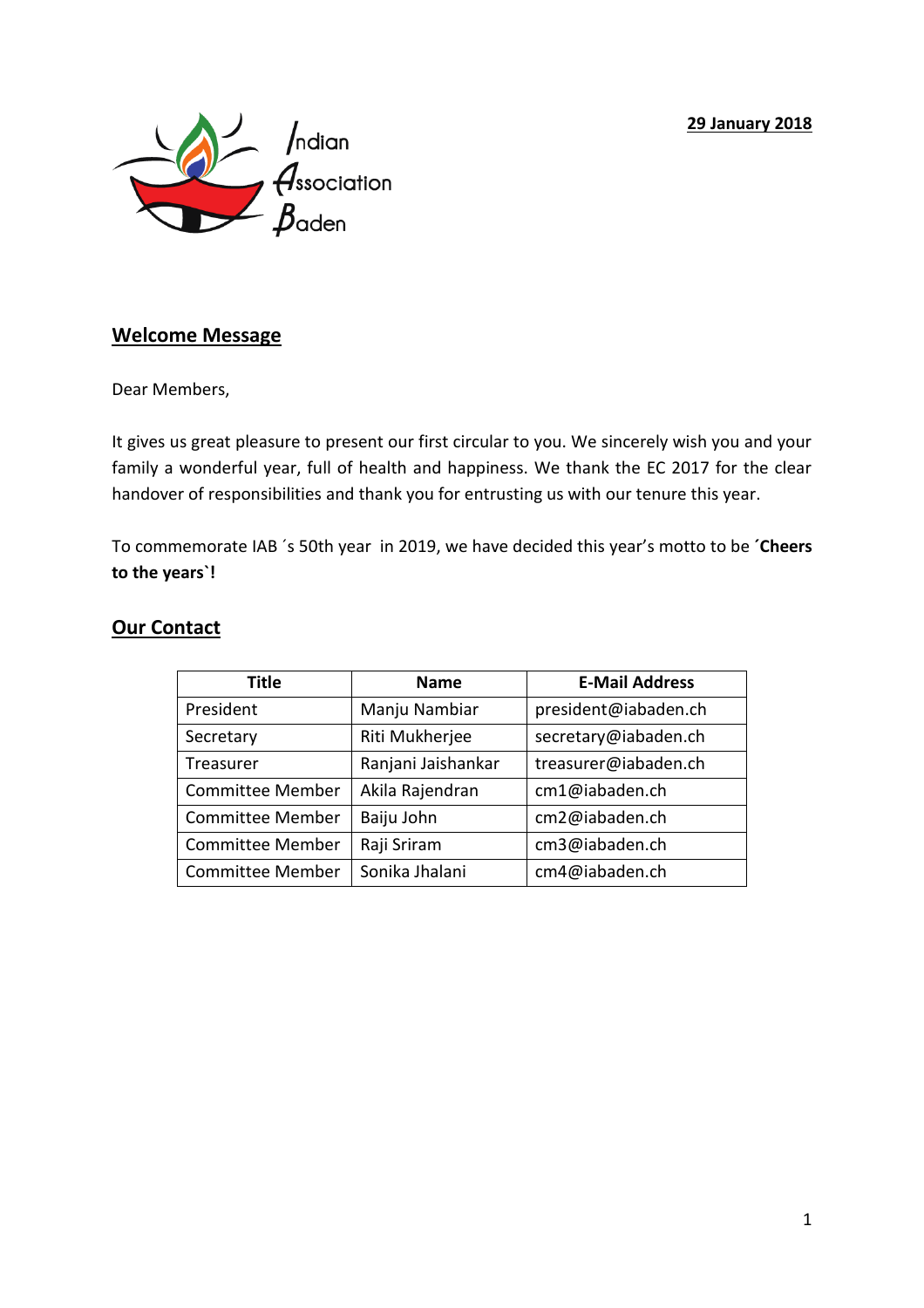#### **29 January 2018**



## **Welcome Message**

Dear Members,

It gives us great pleasure to present our first circular to you. We sincerely wish you and your family a wonderful year, full of health and happiness. We thank the EC 2017 for the clear handover of responsibilities and thank you for entrusting us with our tenure this year.

To commemorate IAB ´s 50th year in 2019, we have decided this year's motto to be **´Cheers to the years`!**

| <b>Title</b>            | <b>Name</b>        | <b>E-Mail Address</b> |
|-------------------------|--------------------|-----------------------|
| President               | Manju Nambiar      | president@iabaden.ch  |
| Secretary               | Riti Mukherjee     | secretary@iabaden.ch  |
| Treasurer               | Ranjani Jaishankar | treasurer@iabaden.ch  |
| <b>Committee Member</b> | Akila Rajendran    | cm1@iabaden.ch        |
| <b>Committee Member</b> | Baiju John         | cm2@iabaden.ch        |
| <b>Committee Member</b> | Raji Sriram        | cm3@iabaden.ch        |
| <b>Committee Member</b> | Sonika Jhalani     | cm4@iabaden.ch        |

### **Our Contact**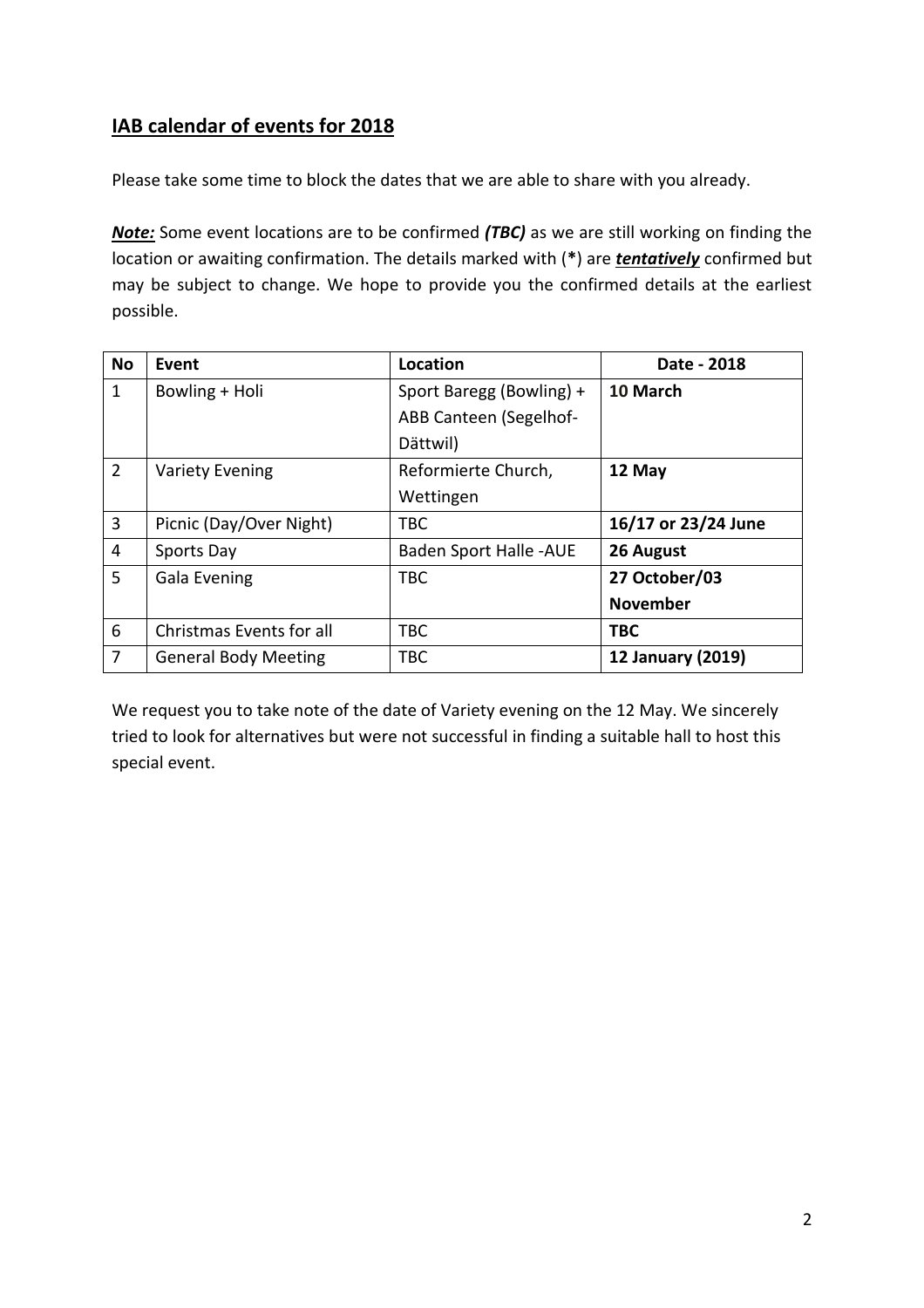# **IAB calendar of events for 2018**

Please take some time to block the dates that we are able to share with you already.

*Note:* Some event locations are to be confirmed *(TBC)* as we are still working on finding the location or awaiting confirmation. The details marked with (**\***) are *tentatively* confirmed but may be subject to change. We hope to provide you the confirmed details at the earliest possible.

| <b>No</b>      | Event                       | Location                      | Date - 2018         |
|----------------|-----------------------------|-------------------------------|---------------------|
| $\mathbf{1}$   | Bowling + Holi              | Sport Baregg (Bowling) +      | 10 March            |
|                |                             | ABB Canteen (Segelhof-        |                     |
|                |                             | Dättwil)                      |                     |
| $\overline{2}$ | <b>Variety Evening</b>      | Reformierte Church,           | 12 May              |
|                |                             | Wettingen                     |                     |
| 3              | Picnic (Day/Over Night)     | <b>TBC</b>                    | 16/17 or 23/24 June |
| $\overline{4}$ | Sports Day                  | <b>Baden Sport Halle -AUE</b> | 26 August           |
| 5              | Gala Evening                | <b>TBC</b>                    | 27 October/03       |
|                |                             |                               | <b>November</b>     |
| 6              | Christmas Events for all    | <b>TBC</b>                    | <b>TBC</b>          |
| 7              | <b>General Body Meeting</b> | <b>TBC</b>                    | 12 January (2019)   |

We request you to take note of the date of Variety evening on the 12 May. We sincerely tried to look for alternatives but were not successful in finding a suitable hall to host this special event.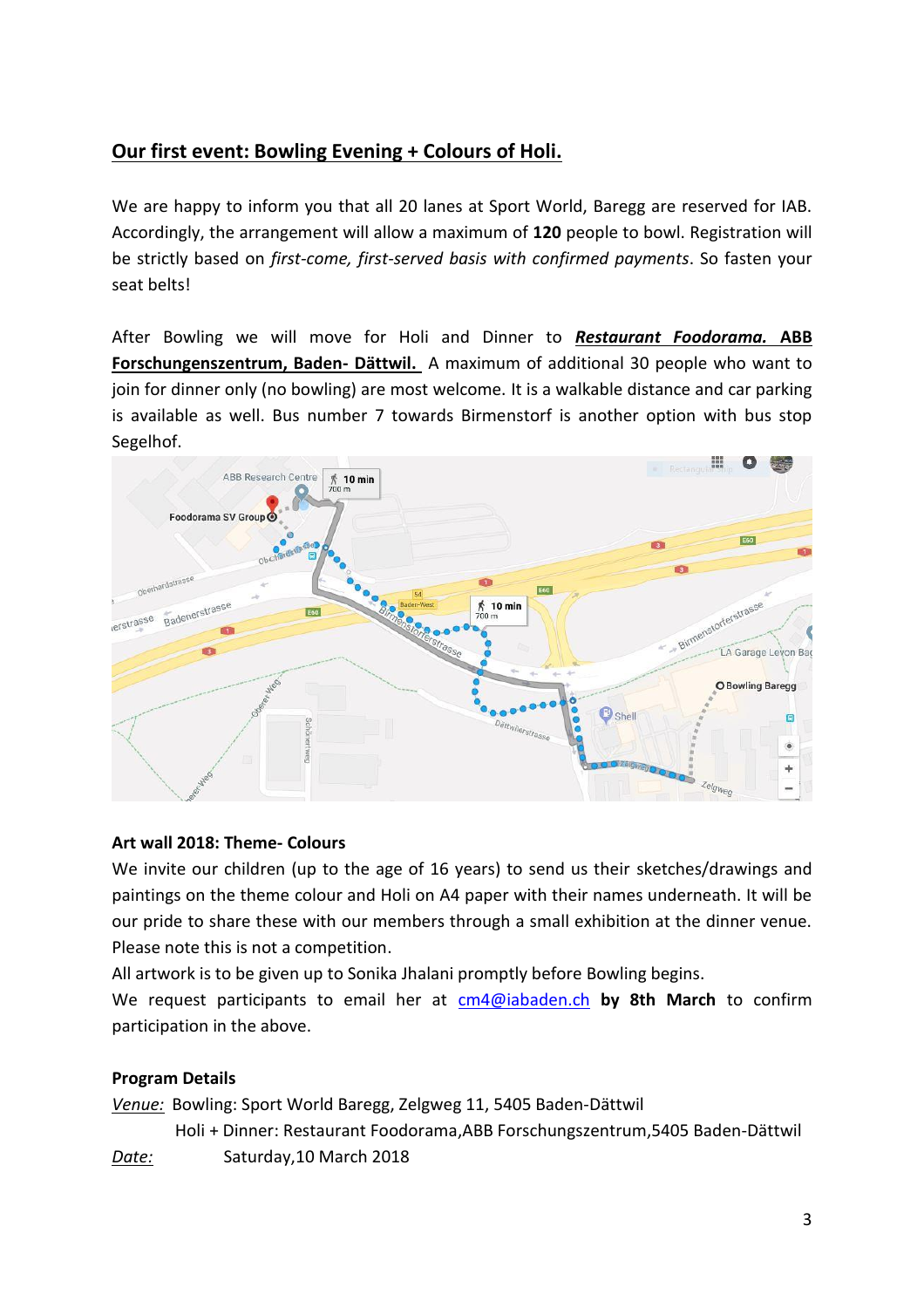## **Our first event: Bowling Evening + Colours of Holi.**

We are happy to inform you that all 20 lanes at Sport World, Baregg are reserved for IAB. Accordingly, the arrangement will allow a maximum of **120** people to bowl. Registration will be strictly based on *first-come, first-served basis with confirmed payments*. So fasten your seat belts!

After Bowling we will move for Holi and Dinner to *Restaurant Foodorama.* **ABB Forschungenszentrum, Baden- Dättwil.** A maximum of additional 30 people who want to join for dinner only (no bowling) are most welcome. It is a walkable distance and car parking is available as well. Bus number 7 towards Birmenstorf is another option with bus stop Segelhof.



### **Art wall 2018: Theme- Colours**

We invite our children (up to the age of 16 years) to send us their sketches/drawings and paintings on the theme colour and Holi on A4 paper with their names underneath. It will be our pride to share these with our members through a small exhibition at the dinner venue. Please note this is not a competition.

All artwork is to be given up to Sonika Jhalani promptly before Bowling begins.

We request participants to email her at [cm4@iabaden.ch](mailto:cm4@iabaden.ch) **by 8th March** to confirm participation in the above.

### **Program Details**

*Venue:* Bowling: Sport World Baregg, Zelgweg 11, 5405 Baden-Dättwil

Holi + Dinner: Restaurant Foodorama,ABB Forschungszentrum,5405 Baden-Dättwil

*Date:* Saturday,10 March 2018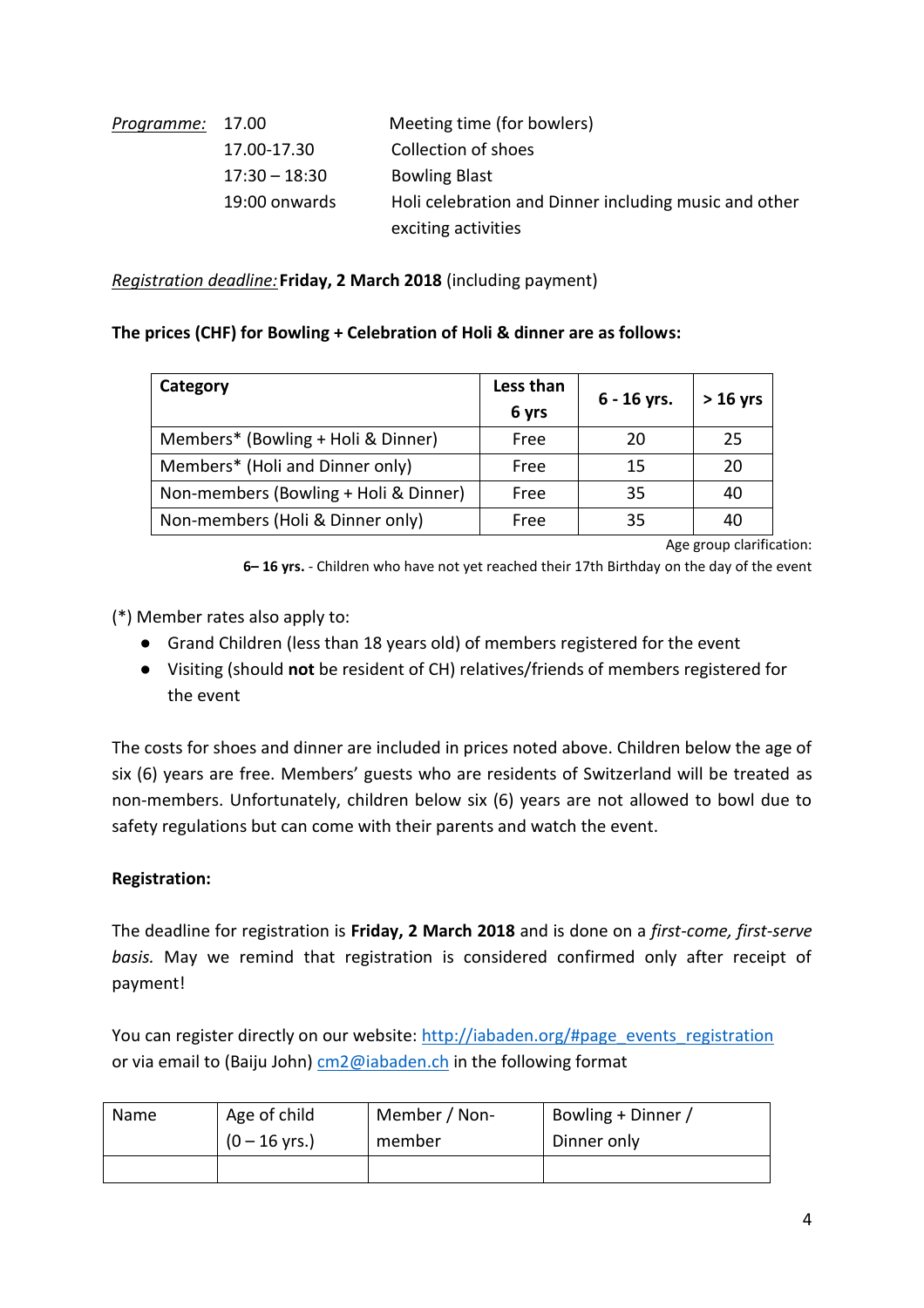| Programme: 17.00 |                 | Meeting time (for bowlers)                            |
|------------------|-----------------|-------------------------------------------------------|
|                  | 17.00-17.30     | Collection of shoes                                   |
|                  | $17:30 - 18:30$ | <b>Bowling Blast</b>                                  |
|                  | 19:00 onwards   | Holi celebration and Dinner including music and other |
|                  |                 | exciting activities                                   |

*Registration deadline:***Friday, 2 March 2018** (including payment)

#### **The prices (CHF) for Bowling + Celebration of Holi & dinner are as follows:**

| Category                              | Less than<br>6 yrs | $6 - 16$ yrs. | $> 16$ yrs |
|---------------------------------------|--------------------|---------------|------------|
| Members* (Bowling + Holi & Dinner)    | Free               | 20            | 25         |
| Members* (Holi and Dinner only)       | Free               | 15            | 20         |
| Non-members (Bowling + Holi & Dinner) | Free               | 35            | 40         |
| Non-members (Holi & Dinner only)      | Free               | 35            | 40         |

Age group clarification:

**6– 16 yrs.** - Children who have not yet reached their 17th Birthday on the day of the event

(\*) Member rates also apply to:

- Grand Children (less than 18 years old) of members registered for the event
- Visiting (should **not** be resident of CH) relatives/friends of members registered for the event

The costs for shoes and dinner are included in prices noted above. Children below the age of six (6) years are free. Members' guests who are residents of Switzerland will be treated as non-members. Unfortunately, children below six (6) years are not allowed to bowl due to safety regulations but can come with their parents and watch the event.

#### **Registration:**

The deadline for registration is **Friday, 2 March 2018** and is done on a *first-come, first-serve basis.* May we remind that registration is considered confirmed only after receipt of payment!

You can register directly on our website: [http://iabaden.org/#page\\_events\\_registration](http://iabaden.org/#register_for-event_form) or via email to (Baiju John) [cm2@iabaden.ch](mailto:cm2@iabaden.ch) in the following format

| <b>Name</b> | Age of child            | Member / Non- | Bowling + Dinner |
|-------------|-------------------------|---------------|------------------|
|             | $(0 - 16 \text{ yrs.})$ | member        | Dinner only      |
|             |                         |               |                  |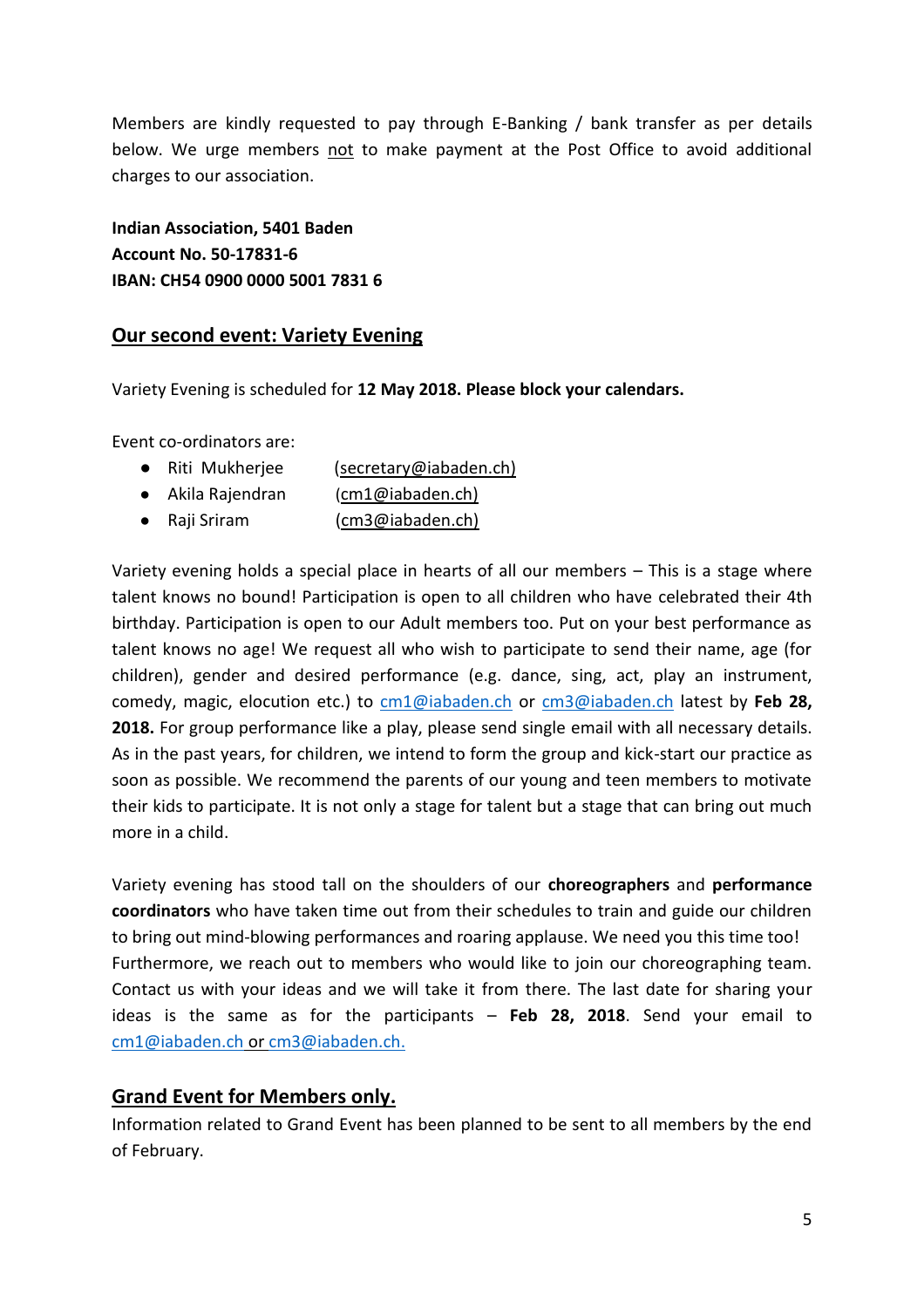Members are kindly requested to pay through E-Banking / bank transfer as per details below. We urge members not to make payment at the Post Office to avoid additional charges to our association.

**Indian Association, 5401 Baden Account No. 50-17831-6 IBAN: CH54 0900 0000 5001 7831 6**

## **Our second event: Variety Evening**

Variety Evening is scheduled for **12 May 2018. Please block your calendars.** 

Event co-ordinators are:

- Riti Mukherjee (secretary@iabaden.ch)
- Akila Rajendran ([cm1@iabaden.ch\)](about:blank)
- Raji Sriram [\(cm3@iabaden.ch\)](mailto:cm3@iabaden.ch))

Variety evening holds a special place in hearts of all our members – This is a stage where talent knows no bound! Participation is open to all children who have celebrated their 4th birthday. Participation is open to our Adult members too. Put on your best performance as talent knows no age! We request all who wish to participate to send their name, age (for children), gender and desired performance (e.g. dance, sing, act, play an instrument, comedy, magic, elocution etc.) to [cm1@iabaden.ch](mailto:cm1@iabaden.ch) or [cm3@iabaden.ch](mailto:cm3@iabaden.ch) latest by **Feb 28, 2018.** For group performance like a play, please send single email with all necessary details. As in the past years, for children, we intend to form the group and kick-start our practice as soon as possible. We recommend the parents of our young and teen members to motivate their kids to participate. It is not only a stage for talent but a stage that can bring out much more in a child.

Variety evening has stood tall on the shoulders of our **choreographers** and **performance coordinators** who have taken time out from their schedules to train and guide our children to bring out mind-blowing performances and roaring applause. We need you this time too! Furthermore, we reach out to members who would like to join our choreographing team. Contact us with your ideas and we will take it from there. The last date for sharing your ideas is the same as for the participants – **Feb 28, 2018**. Send your email to [cm1@iabaden.ch](mailto:cm1@iabaden.ch) or [cm3@iabaden.ch.](mailto:cm3@iabaden.ch)

## **Grand Event for Members only.**

Information related to Grand Event has been planned to be sent to all members by the end of February.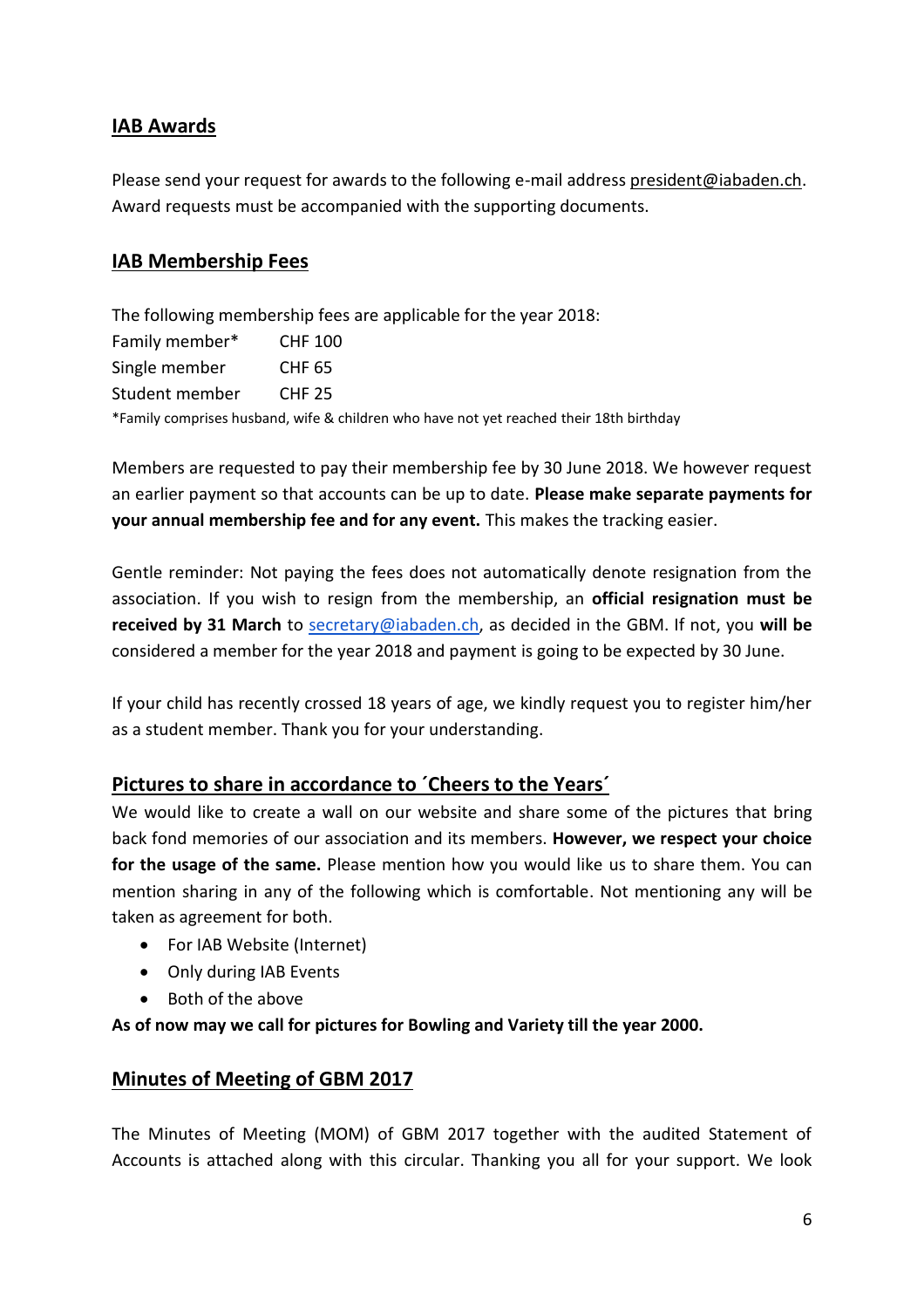## **IAB Awards**

Please send your request for awards to the following e-mail addres[s president@iabaden.ch.](mailto:president@iabaden.ch) Award requests must be accompanied with the supporting documents.

## **IAB Membership Fees**

The following membership fees are applicable for the year 2018: Family member\* CHF 100 Single member CHF 65 Student member CHF 25 \*Family comprises husband, wife & children who have not yet reached their 18th birthday

Members are requested to pay their membership fee by 30 June 2018. We however request an earlier payment so that accounts can be up to date. **Please make separate payments for your annual membership fee and for any event.** This makes the tracking easier.

Gentle reminder: Not paying the fees does not automatically denote resignation from the association. If you wish to resign from the membership, an **official resignation must be received by 31 March** to [secretary@iabaden.ch,](mailto:secretary@iabaden.ch) as decided in the GBM. If not, you **will be** considered a member for the year 2018 and payment is going to be expected by 30 June.

If your child has recently crossed 18 years of age, we kindly request you to register him/her as a student member. Thank you for your understanding.

## **Pictures to share in accordance to ´Cheers to the Years´**

We would like to create a wall on our website and share some of the pictures that bring back fond memories of our association and its members. **However, we respect your choice for the usage of the same.** Please mention how you would like us to share them. You can mention sharing in any of the following which is comfortable. Not mentioning any will be taken as agreement for both.

- For IAB Website (Internet)
- Only during IAB Events
- Both of the above

**As of now may we call for pictures for Bowling and Variety till the year 2000.**

## **Minutes of Meeting of GBM 2017**

The Minutes of Meeting (MOM) of GBM 2017 together with the audited Statement of Accounts is attached along with this circular. Thanking you all for your support. We look